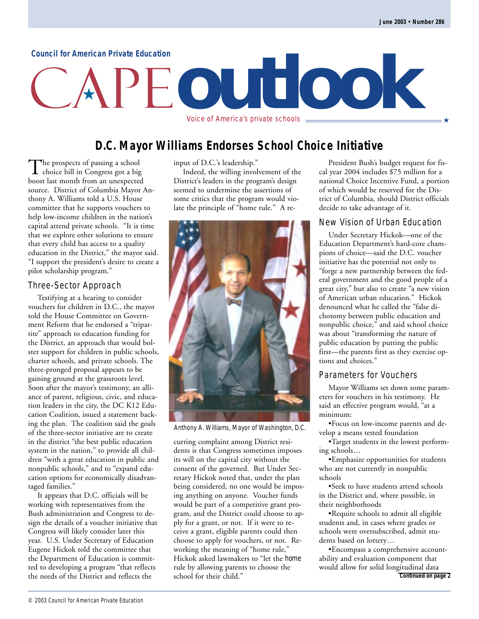#### **Council for American Private Education**

# **outlook**

Voice of America's private schools  $\equiv$ 

#### **D.C. Mayor Williams Endorses School Choice Initiative**

The prospects of passing a school<br>choice bill in Congress got a big boost last month from an unexpected source. District of Columbia Mayor Anthony A. Williams told a U.S. House committee that he supports vouchers to help low-income children in the nation's capital attend private schools. "It is time that we explore other solutions to ensure that every child has access to a quality education in the District," the mayor said. "I support the president's desire to create a pilot scholarship program."

#### Three-Sector Approach

Testifying at a hearing to consider vouchers for children in D.C., the mayor told the House Committee on Government Reform that he endorsed a "tripartite" approach to education funding for the District, an approach that would bolster support for children in public schools, charter schools, and private schools. The three-pronged proposal appears to be gaining ground at the grassroots level. Soon after the mayor's testimony, an alliance of parent, religious, civic, and education leaders in the city, the DC K12 Education Coalition, issued a statement backing the plan. The coalition said the goals of the three-sector initiative are to create in the district "the best public education system in the nation," to provide all children "with a great education in public and nonpublic schools," and to "expand education options for economically disadvantaged families."

It appears that D.C. officials will be working with representatives from the Bush administration and Congress to design the details of a voucher initiative that Congress will likely consider later this year. U.S. Under Secretary of Education Eugene Hickok told the committee that the Department of Education is committed to developing a program "that reflects the needs of the District and reflects the

input of D.C.'s leadership."

Indeed, the willing involvement of the District's leaders in the program's design seemed to undermine the assertions of some critics that the program would violate the principle of "home rule." A re-



Anthony A. Williams, Mayor of Washington, D.C.

curring complaint among District residents is that Congress sometimes imposes its will on the capital city without the consent of the governed. But Under Secretary Hickok noted that, under the plan being considered, no one would be imposing anything on anyone. Voucher funds would be part of a competitive grant program, and the District could choose to apply for a grant, or not. If it were to receive a grant, eligible parents could then choose to apply for vouchers, or not. Reworking the meaning of "home rule," Hickok asked lawmakers to "let the *home* rule by allowing parents to choose the school for their child."

President Bush's budget request for fiscal year 2004 includes \$75 million for a national Choice Incentive Fund, a portion of which would be reserved for the District of Columbia, should District officials decide to take advantage of it.

#### New Vision of Urban Education

Under Secretary Hickok—one of the Education Department's hard-core champions of choice—said the D.C. voucher initiative has the potential not only to "forge a new partnership between the federal government and the good people of a great city," but also to create "a new vision of American urban education." Hickok denounced what he called the "false dichotomy between public education and nonpublic choice," and said school choice was about "transforming the nature of public education by putting the public first—the parents first as they exercise options and choices."

#### Parameters for Vouchers

Mayor Williams set down some parameters for vouchers in his testimony. He said an effective program would, "at a minimum:

•Focus on low-income parents and develop a means tested foundation

•Target students in the lowest performing schools…

•Emphasize opportunities for students who are not currently in nonpublic schools

•Seek to have students attend schools in the District and, where possible, in their neighborhoods

•Require schools to admit all eligible students and, in cases where grades or schools were oversubscribed, admit students based on lottery…

•Encompass a comprehensive accountability and evaluation component that would allow for solid longitudinal data **Continued on page 2**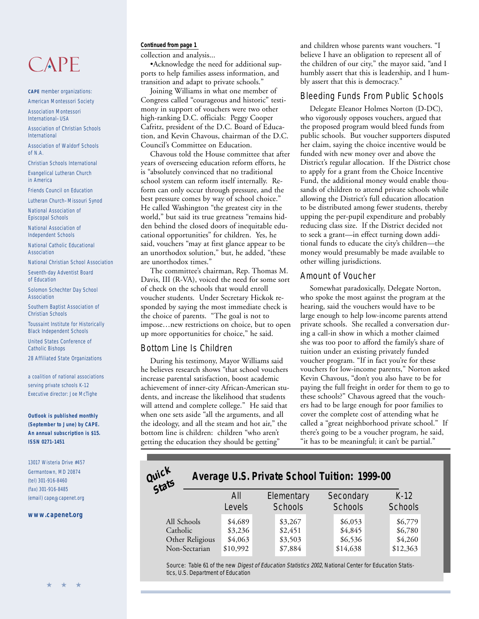## $CAPF$

**CAPE** member organizations: American Montessori Society

Association Montessori International–USA

Association of Christian Schools International

Association of Waldorf Schools of N.A.

Christian Schools International

Evangelical Lutheran Church in America

Friends Council on Education

Lutheran Church–Missouri Synod

National Association of Episcopal Schools

National Association of Independent Schools

National Catholic Educational Association

National Christian School Association

Seventh-day Adventist Board of Education

Solomon Schechter Day School Association

Southern Baptist Association of Christian Schools

Toussaint Institute for Historically Black Independent Schools

United States Conference of Catholic Bishops

28 Affiliated State Organizations

a coalition of national associations serving private schools K-12 Executive director: Joe McTighe

**Outlook is published monthly (September to June) by CAPE. An annual subscription is \$15. ISSN 0271-1451**

13017 Wisteria Drive #457 Germantown, MD 20874 (tel) 301-916-8460 (fax) 301-916-8485 (email) cape@capenet.org

#### **[www.capenet.org](http://www.capenet.org)**

#### **Continued from page 1**

collection and analysis...

•Acknowledge the need for additional supports to help families assess information, and transition and adapt to private schools."

Joining Williams in what one member of Congress called "courageous and historic" testimony in support of vouchers were two other high-ranking D.C. officials: Peggy Cooper Cafritz, president of the D.C. Board of Education, and Kevin Chavous, chairman of the D.C. Council's Committee on Education.

Chavous told the House committee that after years of overseeing education reform efforts, he is "absolutely convinced that no traditional school system can reform itself internally. Reform can only occur through pressure, and the best pressure comes by way of school choice." He called Washington "the greatest city in the world," but said its true greatness "remains hidden behind the closed doors of inequitable educational opportunities" for children. Yes, he said, vouchers "may at first glance appear to be an unorthodox solution," but, he added, "these are unorthodox times."

The committee's chairman, Rep. Thomas M. Davis, III (R-VA), voiced the need for some sort of check on the schools that would enroll voucher students. Under Secretary Hickok responded by saying the most immediate check is the choice of parents. "The goal is not to impose…new restrictions on choice, but to open up more opportunities for choice," he said.

#### Bottom Line Is Children

During his testimony, Mayor Williams said he believes research shows "that school vouchers increase parental satisfaction, boost academic achievement of inner-city African-American students, and increase the likelihood that students will attend and complete college." He said that when one sets aside "all the arguments, and all the ideology, and all the steam and hot air," the bottom line is children: children "who aren't getting the education they should be getting"

and children whose parents want vouchers. "I believe I have an obligation to represent all of the children of our city," the mayor said, "and I humbly assert that this is leadership, and I humbly assert that this is democracy."

#### Bleeding Funds From Public Schools

Delegate Eleanor Holmes Norton (D-DC), who vigorously opposes vouchers, argued that the proposed program would bleed funds from public schools. But voucher supporters disputed her claim, saying the choice incentive would be funded with new money over and above the District's regular allocation. If the District chose to apply for a grant from the Choice Incentive Fund, the additional money would enable thousands of children to attend private schools while allowing the District's full education allocation to be distributed among fewer students, thereby upping the per-pupil expenditure and probably reducing class size. If the District decided not to seek a grant—in effect turning down additional funds to educate the city's children—the money would presumably be made available to other willing jurisdictions.

#### Amount of Voucher

Somewhat paradoxically, Delegate Norton, who spoke the most against the program at the hearing, said the vouchers would have to be large enough to help low-income parents attend private schools. She recalled a conversation during a call-in show in which a mother claimed she was too poor to afford the family's share of tuition under an existing privately funded voucher program. "If in fact you're for these vouchers for low-income parents," Norton asked Kevin Chavous, "don't you also have to be for paying the full freight in order for them to go to these schools?" Chavous agreed that the vouchers had to be large enough for poor families to cover the complete cost of attending what he called a "great neighborhood private school." If there's going to be a voucher program, he said, "it has to be meaningful; it can't be partial."

#### **Secondary Schools** All Schools Catholic Other Religious Non-Sectarian **Average U.S. Private School Tuition: 1999-00** K-12 **Schools** All Levels **Elementary Schools**  $\frac{$4,689}{\$3,267}$  \$6,053 \$6,779  $\text{\$3,236}$   $\text{\$2,451}$   $\text{\$4,845}$   $\text{\$6,780}$  $\frac{$4,063}{4,260}$  \$3,503 \$6,536 \$4,260 \$10,992 \$7,884 \$14,638 \$12,363 **Quick Stats**

Source: Table 61 of the new *Digest of Education Statistics 2002*, National Center for Education Statistics, U.S. Department of Education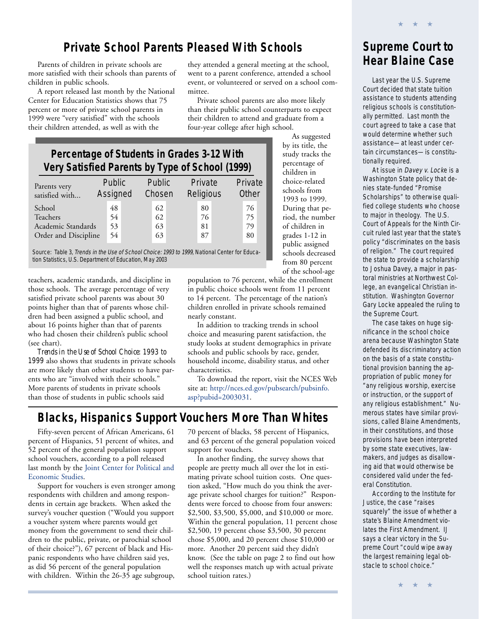#### **Private School Parents Pleased With Schools**

more satisfied with their schools than parents of children in public schools.

A report released last month by the National Center for Education Statistics shows that 75 percent or more of private school parents in 1999 were "very satisfied" with the schools their children attended, as well as with the

Parents of children in private schools are **they attended a general meeting at the school**, **Hear Blaine Case** went to a parent conference, attended a school event, or volunteered or served on a school committee.

> Private school parents are also more likely than their public school counterparts to expect their children to attend and graduate from a four-year college after high school. As suggested

> > by its title, the study tracks the percentage of children in choice-related schools from 1993 to 1999. During that period, the number of children in grades 1-12 in public assigned schools decreased from 80 percent of the school-age

#### **Percentage of Students in Grades 3-12 With Very Satisfied Parents by Type of School (1999)**

| Parents very<br>satisfied with | Public<br>Assigned | Public<br>Chosen | Private<br>Religious | Private<br>Other |
|--------------------------------|--------------------|------------------|----------------------|------------------|
| School                         | 48                 | 62               | 80                   | 76               |
| Teachers                       | 54                 | 62               | 76                   | 75               |
| Academic Standards             | 53                 | 63               | 81                   | 79               |
| Order and Discipline           | 54                 | 63               | 87                   | 80               |

Source: Table 3, Trends in the Use of School Choice: 1993 to 1999, National Center for Education Statistics, U.S. Department of Education, May 2003

teachers, academic standards, and discipline in those schools. The average percentage of very satisfied private school parents was about 30 points higher than that of parents whose children had been assigned a public school, and about 16 points higher than that of parents who had chosen their children's public school (see chart).

*Trends in the Use of School Choice: 1993 to 1999* also shows that students in private schools are more likely than other students to have parents who are "involved with their schools." More parents of students in private schools than those of students in public schools said

population to 76 percent, while the enrollment in public choice schools went from 11 percent to 14 percent. The percentage of the nation's children enrolled in private schools remained nearly constant.

In addition to tracking trends in school choice and measuring parent satisfaction, the study looks at student demographics in private schools and public schools by race, gender, household income, disability status, and other characteristics.

To download the report, visit the NCES Web site at: [http://nces.ed.gov/pubsearch/pubsinfo.](http://nces.ed.gov/pubsearch/pubsinfo.asp?pubid=2003031) [asp?pubid=2003031](http://nces.ed.gov/pubsearch/pubsinfo.asp?pubid=2003031).

#### **Blacks, Hispanics Support Vouchers More Than Whites**

Fifty-seven percent of African Americans, 61 percent of Hispanics, 51 percent of whites, and 52 percent of the general population support school vouchers, according to a poll released last month by the [Joint Center for Political and](http://www.jointcenter.org/) [Economic Studies.](http://www.jointcenter.org/)

Support for vouchers is even stronger among respondents with children and among respondents in certain age brackets. When asked the survey's voucher question ("Would you support a voucher system where parents would get money from the government to send their children to the public, private, or parochial school of their choice?"), 67 percent of black and Hispanic respondents who have children said yes, as did 56 percent of the general population with children. Within the 26-35 age subgroup,

70 percent of blacks, 58 percent of Hispanics, and 63 percent of the general population voiced support for vouchers.

In another finding, the survey shows that people are pretty much all over the lot in estimating private school tuition costs. One question asked, "How much do you think the average private school charges for tuition?" Respondents were forced to choose from four answers: \$2,500, \$3,500, \$5,000, and \$10,000 or more. Within the general population, 11 percent chose \$2,500, 19 percent chose \$3,500, 30 percent chose \$5,000, and 20 percent chose \$10,000 or more. Another 20 percent said they didn't know. (See the table on page 2 to find out how well the responses match up with actual private school tuition rates.)

# **Supreme Court to**

★ ★ ★

Last year the U.S. Supreme Court decided that state tuition assistance to students attending religious schools is constitutionally permitted. Last month the court agreed to take a case that would determine whether such assistance—at least under certain circumstances—is constitutionally required.

At issue in Davey v. Locke is a Washington State policy that denies state-funded "Promise Scholarships" to otherwise qualified college students who choose to major in theology. The U.S. Court of Appeals for the Ninth Circuit ruled last year that the state's policy "discriminates on the basis of religion." The court required the state to provide a scholarship to Joshua Davey, a major in pastoral ministries at Northwest College, an evangelical Christian institution. Washington Governor Gary Locke appealed the ruling to the Supreme Court.

The case takes on huge significance in the school choice arena because Washington State defended its discriminatory action on the basis of a state constitutional provision banning the appropriation of public money for "any religious worship, exercise or instruction, or the support of any religious establishment." Numerous states have similar provisions, called Blaine Amendments, in their constitutions, and those provisions have been interpreted by some state executives, lawmakers, and judges as disallowing aid that would otherwise be considered valid under the federal Constitution.

According to the Institute for Justice, the case "raises squarely" the issue of whether a state's Blaine Amendment violates the First Amendment. IJ says a clear victory in the Supreme Court "could wipe away the largest remaining legal obstacle to school choice."

★ ★ ★